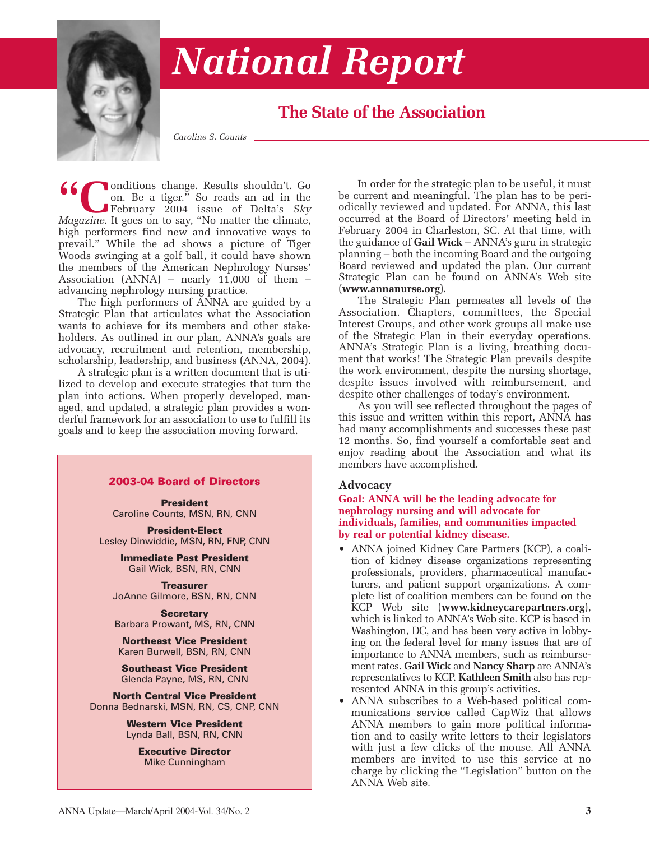

# *National Report*

# **The State of the Association**

*Caroline S. Counts*

**66** Conditions change. Results shouldn't. Go on. Be a tiger." So reads an ad in the February 2004 issue of Delta's *Sky*<br>Magazine. It goes on to say, "No matter the climate. on. Be a tiger." So reads an ad in the February 2004 issue of Delta's *Sky Magazine*. It goes on to say, "No matter the climate, high performers find new and innovative ways to prevail." While the ad shows a picture of Tiger Woods swinging at a golf ball, it could have shown the members of the American Nephrology Nurses' Association  $(ANNA)$  – nearly 11,000 of them – advancing nephrology nursing practice.

The high performers of ANNA are guided by a Strategic Plan that articulates what the Association wants to achieve for its members and other stakeholders. As outlined in our plan, ANNA's goals are advocacy, recruitment and retention, membership, scholarship, leadership, and business (ANNA, 2004).

A strategic plan is a written document that is utilized to develop and execute strategies that turn the plan into actions. When properly developed, managed, and updated, a strategic plan provides a wonderful framework for an association to use to fulfill its goals and to keep the association moving forward.

#### **2003-04 Board of Directors**

**President** Caroline Counts, MSN, RN, CNN

**President-Elect** Lesley Dinwiddie, MSN, RN, FNP, CNN

> **Immediate Past President** Gail Wick, BSN, RN, CNN

**Treasurer** JoAnne Gilmore, BSN, RN, CNN

**Secretary** Barbara Prowant, MS, RN, CNN

**Northeast Vice President** Karen Burwell, BSN, RN, CNN

**Southeast Vice President** Glenda Payne, MS, RN, CNN

**North Central Vice President** Donna Bednarski, MSN, RN, CS, CNP, CNN

> **Western Vice President** Lynda Ball, BSN, RN, CNN

> > **Executive Director** Mike Cunningham

In order for the strategic plan to be useful, it must be current and meaningful. The plan has to be periodically reviewed and updated. For ANNA, this last occurred at the Board of Directors' meeting held in February 2004 in Charleston, SC. At that time, with the guidance of **Gail Wick** – ANNA's guru in strategic planning – both the incoming Board and the outgoing Board reviewed and updated the plan. Our current Strategic Plan can be found on ANNA's Web site (**www.annanurse.org**).

The Strategic Plan permeates all levels of the Association. Chapters, committees, the Special Interest Groups, and other work groups all make use of the Strategic Plan in their everyday operations. ANNA's Strategic Plan is a living, breathing document that works! The Strategic Plan prevails despite the work environment, despite the nursing shortage, despite issues involved with reimbursement, and despite other challenges of today's environment.

As you will see reflected throughout the pages of this issue and written within this report, ANNA has had many accomplishments and successes these past 12 months. So, find yourself a comfortable seat and enjoy reading about the Association and what its members have accomplished.

#### **Advocacy**

**Goal: ANNA will be the leading advocate for nephrology nursing and will advocate for individuals, families, and communities impacted by real or potential kidney disease.**

- ANNA joined Kidney Care Partners (KCP), a coalition of kidney disease organizations representing professionals, providers, pharmaceutical manufacturers, and patient support organizations. A complete list of coalition members can be found on the KCP Web site (**www.kidneycarepartners.org**), which is linked to ANNA's Web site. KCP is based in Washington, DC, and has been very active in lobbying on the federal level for many issues that are of importance to ANNA members, such as reimbursement rates. **Gail Wick** and **Nancy Sharp** are ANNA's representatives to KCP. **Kathleen Smith** also has represented ANNA in this group's activities.
- ANNA subscribes to a Web-based political communications service called CapWiz that allows ANNA members to gain more political information and to easily write letters to their legislators with just a few clicks of the mouse. All ANNA members are invited to use this service at no charge by clicking the "Legislation" button on the ANNA Web site.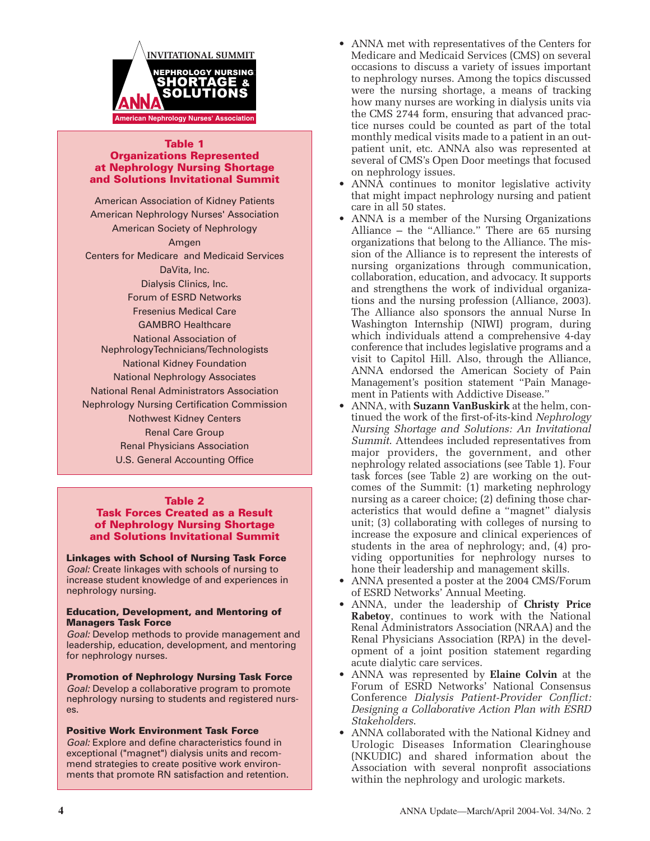

#### **Table 1 Organizations Represented at Nephrology Nursing Shortage and Solutions Invitational Summit**

American Association of Kidney Patients American Nephrology Nurses' Association American Society of Nephrology Amgen Centers for Medicare and Medicaid Services DaVita, Inc. Dialysis Clinics, Inc. Forum of ESRD Networks Fresenius Medical Care GAMBRO Healthcare National Association of NephrologyTechnicians/Technologists National Kidney Foundation National Nephrology Associates National Renal Administrators Association Nephrology Nursing Certification Commission Nothwest Kidney Centers Renal Care Group Renal Physicians Association U.S. General Accounting Office

#### **Table 2**

#### **Task Forces Created as a Result of Nephrology Nursing Shortage and Solutions Invitational Summit**

**Linkages with School of Nursing Task Force** *Goal:* Create linkages with schools of nursing to increase student knowledge of and experiences in nephrology nursing.

#### **Education, Development, and Mentoring of Managers Task Force**

*Goal:* Develop methods to provide management and leadership, education, development, and mentoring for nephrology nurses.

**Promotion of Nephrology Nursing Task Force** *Goal:* Develop a collaborative program to promote nephrology nursing to students and registered nurses.

#### **Positive Work Environment Task Force**

*Goal:* Explore and define characteristics found in exceptional ("magnet") dialysis units and recommend strategies to create positive work environments that promote RN satisfaction and retention.

- ANNA met with representatives of the Centers for Medicare and Medicaid Services (CMS) on several occasions to discuss a variety of issues important to nephrology nurses. Among the topics discussed were the nursing shortage, a means of tracking how many nurses are working in dialysis units via the CMS 2744 form, ensuring that advanced practice nurses could be counted as part of the total monthly medical visits made to a patient in an outpatient unit, etc. ANNA also was represented at several of CMS's Open Door meetings that focused on nephrology issues.
- ANNA continues to monitor legislative activity that might impact nephrology nursing and patient care in all 50 states.
- ANNA is a member of the Nursing Organizations Alliance – the "Alliance." There are 65 nursing organizations that belong to the Alliance. The mission of the Alliance is to represent the interests of nursing organizations through communication, collaboration, education, and advocacy. It supports and strengthens the work of individual organizations and the nursing profession (Alliance, 2003). The Alliance also sponsors the annual Nurse In Washington Internship (NIWI) program, during which individuals attend a comprehensive 4-day conference that includes legislative programs and a visit to Capitol Hill. Also, through the Alliance, ANNA endorsed the American Society of Pain Management's position statement "Pain Management in Patients with Addictive Disease."
- ANNA, with **Suzann VanBuskirk** at the helm, continued the work of the first-of-its-kind *Nephrology Nursing Shortage and Solutions: An Invitational Summit*. Attendees included representatives from major providers, the government, and other nephrology related associations (see Table 1). Four task forces (see Table 2) are working on the outcomes of the Summit: (1) marketing nephrology nursing as a career choice; (2) defining those characteristics that would define a "magnet" dialysis unit; (3) collaborating with colleges of nursing to increase the exposure and clinical experiences of students in the area of nephrology; and, (4) providing opportunities for nephrology nurses to hone their leadership and management skills.
- ANNA presented a poster at the 2004 CMS/Forum of ESRD Networks' Annual Meeting.
- ANNA, under the leadership of **Christy Price Rabetoy**, continues to work with the National Renal Administrators Association (NRAA) and the Renal Physicians Association (RPA) in the development of a joint position statement regarding acute dialytic care services.
- ANNA was represented by **Elaine Colvin** at the Forum of ESRD Networks' National Consensus Conference *Dialysis Patient-Provider Conflict: Designing a Collaborative Action Plan with ESRD Stakeholders*.
- ANNA collaborated with the National Kidney and Urologic Diseases Information Clearinghouse (NKUDIC) and shared information about the Association with several nonprofit associations within the nephrology and urologic markets.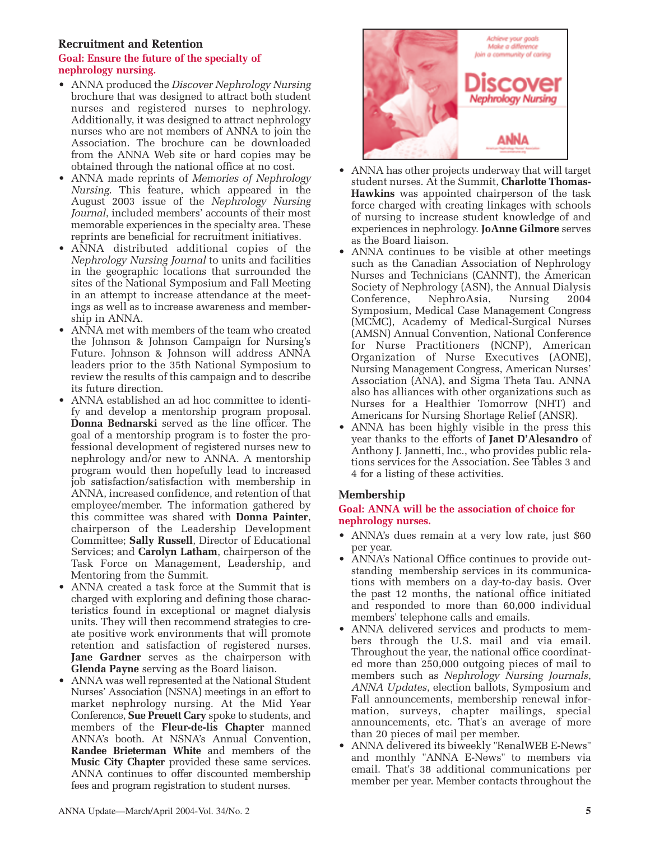### **Recruitment and Retention**

#### **Goal: Ensure the future of the specialty of nephrology nursing.**

- ANNA produced the *Discover Nephrology Nursing* brochure that was designed to attract both student nurses and registered nurses to nephrology. Additionally, it was designed to attract nephrology nurses who are not members of ANNA to join the Association. The brochure can be downloaded from the ANNA Web site or hard copies may be obtained through the national office at no cost.
- ANNA made reprints of *Memories of Nephrology Nursing*. This feature, which appeared in the August 2003 issue of the *Nephrology Nursing Journal*, included members' accounts of their most memorable experiences in the specialty area. These reprints are beneficial for recruitment initiatives.
- ANNA distributed additional copies of the *Nephrology Nursing Journal* to units and facilities in the geographic locations that surrounded the sites of the National Symposium and Fall Meeting in an attempt to increase attendance at the meetings as well as to increase awareness and membership in ANNA.
- ANNA met with members of the team who created the Johnson & Johnson Campaign for Nursing's Future. Johnson & Johnson will address ANNA leaders prior to the 35th National Symposium to review the results of this campaign and to describe its future direction.
- ANNA established an ad hoc committee to identify and develop a mentorship program proposal. **Donna Bednarski** served as the line officer. The goal of a mentorship program is to foster the professional development of registered nurses new to nephrology and/or new to ANNA. A mentorship program would then hopefully lead to increased job satisfaction/satisfaction with membership in ANNA, increased confidence, and retention of that employee/member. The information gathered by this committee was shared with **Donna Painter**, chairperson of the Leadership Development Committee; **Sally Russell**, Director of Educational Services; and **Carolyn Latham**, chairperson of the Task Force on Management, Leadership, and Mentoring from the Summit.
- ANNA created a task force at the Summit that is charged with exploring and defining those characteristics found in exceptional or magnet dialysis units. They will then recommend strategies to create positive work environments that will promote retention and satisfaction of registered nurses. **Jane Gardner** serves as the chairperson with **Glenda Payne** serving as the Board liaison.
- ANNA was well represented at the National Student Nurses' Association (NSNA) meetings in an effort to market nephrology nursing. At the Mid Year Conference, **Sue Preuett Cary** spoke to students, and members of the **Fleur-de-lis Chapter** manned ANNA's booth. At NSNA's Annual Convention, **Randee Brieterman White** and members of the **Music City Chapter** provided these same services. ANNA continues to offer discounted membership fees and program registration to student nurses.



- ANNA has other projects underway that will target student nurses. At the Summit, **Charlotte Thomas-Hawkins** was appointed chairperson of the task force charged with creating linkages with schools of nursing to increase student knowledge of and experiences in nephrology. **JoAnne Gilmore** serves as the Board liaison.
- ANNA continues to be visible at other meetings such as the Canadian Association of Nephrology Nurses and Technicians (CANNT), the American Society of Nephrology (ASN), the Annual Dialysis Conference, NephroAsia, Nursing 2004 Symposium, Medical Case Management Congress (MCMC), Academy of Medical-Surgical Nurses (AMSN) Annual Convention, National Conference for Nurse Practitioners (NCNP), American Organization of Nurse Executives (AONE), Nursing Management Congress, American Nurses' Association (ANA), and Sigma Theta Tau. ANNA also has alliances with other organizations such as Nurses for a Healthier Tomorrow (NHT) and Americans for Nursing Shortage Relief (ANSR).
- ANNA has been highly visible in the press this year thanks to the efforts of **Janet D'Alesandro** of Anthony J. Jannetti, Inc., who provides public relations services for the Association. See Tables 3 and 4 for a listing of these activities.

# **Membership**

#### **Goal: ANNA will be the association of choice for nephrology nurses.**

- ANNA's dues remain at a very low rate, just \$60 per year.
- ANNA's National Office continues to provide outstanding membership services in its communications with members on a day-to-day basis. Over the past 12 months, the national office initiated and responded to more than 60,000 individual members' telephone calls and emails.
- ANNA delivered services and products to members through the U.S. mail and via email. Throughout the year, the national office coordinated more than 250,000 outgoing pieces of mail to members such as *Nephrology Nursing Journals*, *ANNA Updates*, election ballots, Symposium and Fall announcements, membership renewal information, surveys, chapter mailings, special announcements, etc. That's an average of more than 20 pieces of mail per member.
- ANNA delivered its biweekly "RenalWEB E-News" and monthly "ANNA E-News" to members via email. That's 38 additional communications per member per year. Member contacts throughout the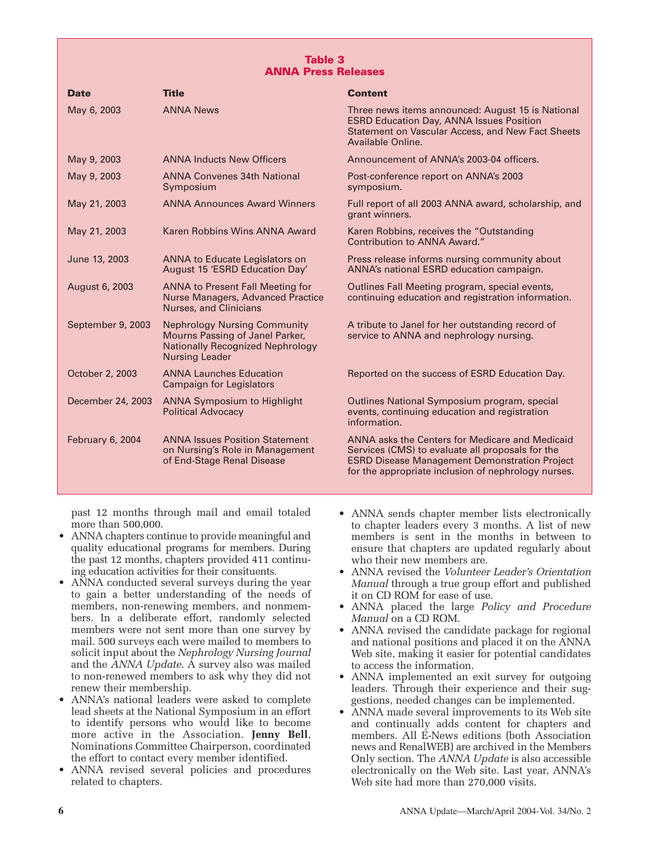#### **Table 3 ANNA Press Releases**

| <b>Date</b>       | <b>Title</b>                                                                                                                               | <b>Content</b>                                                                                                                                                                                                     |
|-------------------|--------------------------------------------------------------------------------------------------------------------------------------------|--------------------------------------------------------------------------------------------------------------------------------------------------------------------------------------------------------------------|
| May 6, 2003       | <b>ANNA News</b>                                                                                                                           | Three news items announced: August 15 is National<br><b>ESRD Education Day, ANNA Issues Position</b><br><b>Statement on Vascular Access, and New Fact Sheets</b><br>Available Online.                              |
| May 9, 2003       | <b>ANNA Inducts New Officers</b>                                                                                                           | Announcement of ANNA's 2003-04 officers.                                                                                                                                                                           |
| May 9, 2003       | <b>ANNA Convenes 34th National</b><br>Symposium                                                                                            | Post-conference report on ANNA's 2003<br>symposium.                                                                                                                                                                |
| May 21, 2003      | <b>ANNA Announces Award Winners</b>                                                                                                        | Full report of all 2003 ANNA award, scholarship, and<br>grant winners.                                                                                                                                             |
| May 21, 2003      | Karen Robbins Wins ANNA Award                                                                                                              | Karen Robbins, receives the "Outstanding<br>Contribution to ANNA Award."                                                                                                                                           |
| June 13, 2003     | ANNA to Educate Legislators on<br>August 15 'ESRD Education Day'                                                                           | Press release informs nursing community about<br>ANNA's national ESRD education campaign.                                                                                                                          |
| August 6, 2003    | <b>ANNA to Present Fall Meeting for</b><br>Nurse Managers, Advanced Practice<br><b>Nurses, and Clinicians</b>                              | Outlines Fall Meeting program, special events,<br>continuing education and registration information.                                                                                                               |
| September 9, 2003 | <b>Nephrology Nursing Community</b><br>Mourns Passing of Janel Parker,<br><b>Nationally Recognized Nephrology</b><br><b>Nursing Leader</b> | A tribute to Janel for her outstanding record of<br>service to ANNA and nephrology nursing.                                                                                                                        |
| October 2, 2003   | <b>ANNA Launches Education</b><br><b>Campaign for Legislators</b>                                                                          | Reported on the success of ESRD Education Day.                                                                                                                                                                     |
| December 24, 2003 | <b>ANNA Symposium to Highlight</b><br><b>Political Advocacy</b>                                                                            | Outlines National Symposium program, special<br>events, continuing education and registration<br>information.                                                                                                      |
| February 6, 2004  | <b>ANNA Issues Position Statement</b><br>on Nursing's Role in Management<br>of End-Stage Renal Disease                                     | ANNA asks the Centers for Medicare and Medicaid<br>Services (CMS) to evaluate all proposals for the<br><b>ESRD Disease Management Demonstration Project</b><br>for the appropriate inclusion of nephrology nurses. |

past 12 months through mail and email totaled more than 500,000.

- ANNA chapters continue to provide meaningful and quality educational programs for members. During the past 12 months, chapters provided 411 continuing education activities for their consituents.
- ANNA conducted several surveys during the year to gain a better understanding of the needs of members, non-renewing members, and nonmembers. In a deliberate effort, randomly selected members were not sent more than one survey by mail. 500 surveys each were mailed to members to solicit input about the *Nephrology Nursing Journal* and the *ANNA Update*. A survey also was mailed to non-renewed members to ask why they did not renew their membership.
- ANNA's national leaders were asked to complete lead sheets at the National Symposium in an effort to identify persons who would like to become more active in the Association. **Jenny Bell**, Nominations Committee Chairperson, coordinated the effort to contact every member identified.
- ANNA revised several policies and procedures related to chapters.
- ANNA sends chapter member lists electronically to chapter leaders every 3 months. A list of new members is sent in the months in between to ensure that chapters are updated regularly about who their new members are.
- ANNA revised the *Volunteer Leader's Orientation Manual* through a true group effort and published it on CD ROM for ease of use.
- ANNA placed the large *Policy and Procedure Manual* on a CD ROM.
- ANNA revised the candidate package for regional and national positions and placed it on the ANNA Web site, making it easier for potential candidates to access the information.
- ANNA implemented an exit survey for outgoing leaders. Through their experience and their suggestions, needed changes can be implemented.
- ANNA made several improvements to its Web site and continually adds content for chapters and members. All E-News editions (both Association news and RenalWEB) are archived in the Members Only section. The *ANNA Update* is also accessible electronically on the Web site. Last year, ANNA's Web site had more than 270,000 visits.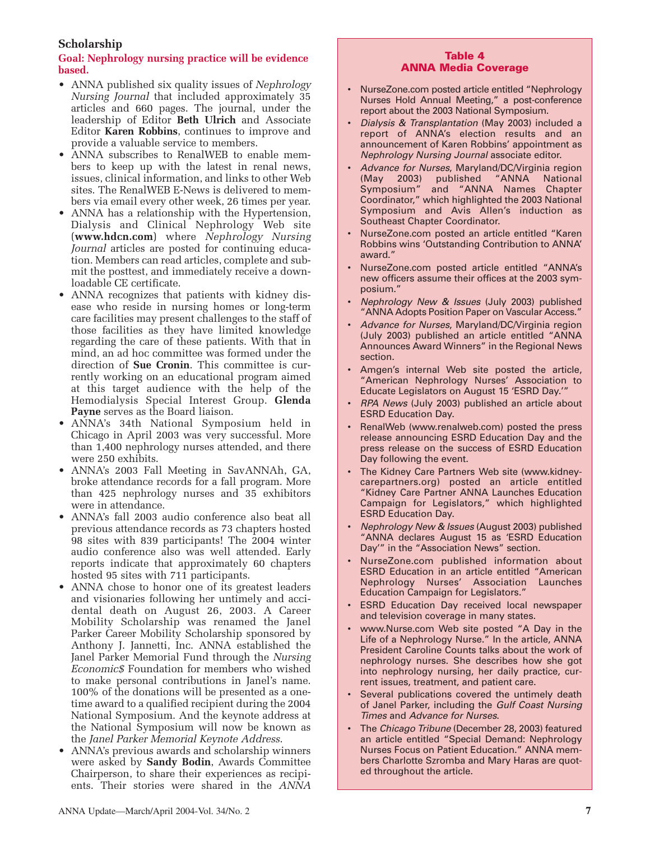# **Scholarship**

## **Goal: Nephrology nursing practice will be evidence based.**

- ANNA published six quality issues of *Nephrology Nursing Journal* that included approximately 35 articles and 660 pages. The journal, under the leadership of Editor **Beth Ulrich** and Associate Editor **Karen Robbins**, continues to improve and provide a valuable service to members.
- ANNA subscribes to RenalWEB to enable members to keep up with the latest in renal news, issues, clinical information, and links to other Web sites. The RenalWEB E-News is delivered to members via email every other week, 26 times per year.
- ANNA has a relationship with the Hypertension, Dialysis and Clinical Nephrology Web site (**www.hdcn.com**) where *Nephrology Nursing Journal* articles are posted for continuing education. Members can read articles, complete and submit the posttest, and immediately receive a downloadable CE certificate.
- ANNA recognizes that patients with kidney disease who reside in nursing homes or long-term care facilities may present challenges to the staff of those facilities as they have limited knowledge regarding the care of these patients. With that in mind, an ad hoc committee was formed under the direction of **Sue Cronin**. This committee is currently working on an educational program aimed at this target audience with the help of the Hemodialysis Special Interest Group. **Glenda Payne** serves as the Board liaison.
- ANNA's 34th National Symposium held in Chicago in April 2003 was very successful. More than 1,400 nephrology nurses attended, and there were 250 exhibits.
- ANNA's 2003 Fall Meeting in SavANNAh, GA, broke attendance records for a fall program. More than 425 nephrology nurses and 35 exhibitors were in attendance.
- ANNA's fall 2003 audio conference also beat all previous attendance records as 73 chapters hosted 98 sites with 839 participants! The 2004 winter audio conference also was well attended. Early reports indicate that approximately 60 chapters hosted 95 sites with 711 participants.
- ANNA chose to honor one of its greatest leaders and visionaries following her untimely and accidental death on August 26, 2003. A Career Mobility Scholarship was renamed the Janel Parker Career Mobility Scholarship sponsored by Anthony J. Jannetti, Inc. ANNA established the Janel Parker Memorial Fund through the *Nursing Economic\$* Foundation for members who wished to make personal contributions in Janel's name. 100% of the donations will be presented as a onetime award to a qualified recipient during the 2004 National Symposium. And the keynote address at the National Symposium will now be known as the *Janel Parker Memorial Keynote Address*.
- ANNA's previous awards and scholarship winners were asked by **Sandy Bodin**, Awards Committee Chairperson, to share their experiences as recipients. Their stories were shared in the *ANNA*

## **Table 4 ANNA Media Coverage**

- NurseZone.com posted article entitled "Nephrology Nurses Hold Annual Meeting," a post-conference report about the 2003 National Symposium.
- *Dialysis & Transplantation* (May 2003) included a report of ANNA's election results and an announcement of Karen Robbins' appointment as *Nephrology Nursing Journal* associate editor.
- *Advance for Nurses*, Maryland/DC/Virginia region (May 2003) published "ANNA National Symposium" and "ANNA Names Chapter Coordinator," which highlighted the 2003 National Symposium and Avis Allen's induction as Southeast Chapter Coordinator.
- NurseZone.com posted an article entitled "Karen Robbins wins 'Outstanding Contribution to ANNA' award."
- NurseZone.com posted article entitled "ANNA's new officers assume their offices at the 2003 symposium."
- *Nephrology New & Issues* (July 2003) published "ANNA Adopts Position Paper on Vascular Access."
- *Advance for Nurses*, Maryland/DC/Virginia region (July 2003) published an article entitled "ANNA Announces Award Winners" in the Regional News section.
- Amgen's internal Web site posted the article, "American Nephrology Nurses' Association to Educate Legislators on August 15 'ESRD Day.'"
- *RPA News* (July 2003) published an article about ESRD Education Day.
- RenalWeb (www.renalweb.com) posted the press release announcing ESRD Education Day and the press release on the success of ESRD Education Day following the event.
- The Kidney Care Partners Web site (www.kidneycarepartners.org) posted an article entitled "Kidney Care Partner ANNA Launches Education Campaign for Legislators," which highlighted ESRD Education Day.
- *Nephrology New & Issues* (August 2003) published "ANNA declares August 15 as 'ESRD Education Day'" in the "Association News" section.
- NurseZone.com published information about ESRD Education in an article entitled "American Nephrology Nurses' Association Launches Education Campaign for Legislators."
- **ESRD Education Day received local newspaper** and television coverage in many states.
- www.Nurse.com Web site posted "A Day in the Life of a Nephrology Nurse." In the article, ANNA President Caroline Counts talks about the work of nephrology nurses. She describes how she got into nephrology nursing, her daily practice, current issues, treatment, and patient care.
- Several publications covered the untimely death of Janel Parker, including the *Gulf Coast Nursing Times* and *Advance for Nurses*.
- The *Chicago Tribune* (December 28, 2003) featured an article entitled "Special Demand: Nephrology Nurses Focus on Patient Education." ANNA members Charlotte Szromba and Mary Haras are quoted throughout the article.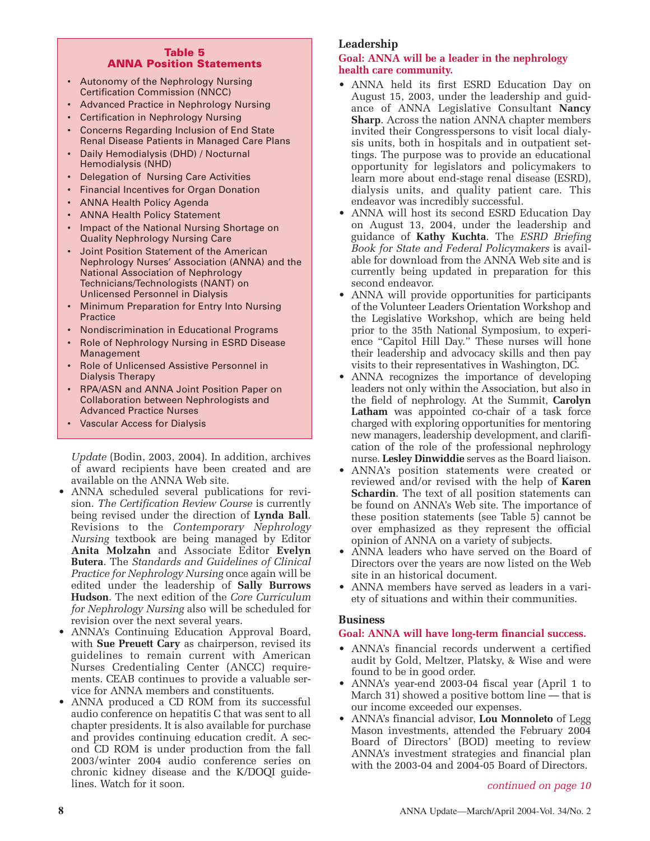#### **Table 5 ANNA Position Statements**

- Autonomy of the Nephrology Nursing Certification Commission (NNCC)
- Advanced Practice in Nephrology Nursing
- Certification in Nephrology Nursing
- Concerns Regarding Inclusion of End State Renal Disease Patients in Managed Care Plans
- Daily Hemodialysis (DHD) / Nocturnal Hemodialysis (NHD)
- Delegation of Nursing Care Activities
- Financial Incentives for Organ Donation
- ANNA Health Policy Agenda
- ANNA Health Policy Statement
- Impact of the National Nursing Shortage on Quality Nephrology Nursing Care
- Joint Position Statement of the American Nephrology Nurses' Association (ANNA) and the National Association of Nephrology Technicians/Technologists (NANT) on Unlicensed Personnel in Dialysis
- Minimum Preparation for Entry Into Nursing **Practice**
- Nondiscrimination in Educational Programs
- Role of Nephrology Nursing in ESRD Disease Management
- Role of Unlicensed Assistive Personnel in Dialysis Therapy
- RPA/ASN and ANNA Joint Position Paper on Collaboration between Nephrologists and Advanced Practice Nurses
- Vascular Access for Dialysis

*Update* (Bodin, 2003, 2004). In addition, archives of award recipients have been created and are available on the ANNA Web site.

- ANNA scheduled several publications for revision. *The Certification Review Course* is currently being revised under the direction of **Lynda Ball**. Revisions to the *Contemporary Nephrology Nursing* textbook are being managed by Editor **Anita Molzahn** and Associate Editor **Evelyn Butera**. The *Standards and Guidelines of Clinical Practice for Nephrology Nursing* once again will be edited under the leadership of **Sally Burrows Hudson**. The next edition of the *Core Curriculum for Nephrology Nursing* also will be scheduled for revision over the next several years.
- ANNA's Continuing Education Approval Board, with **Sue Preuett Cary** as chairperson, revised its guidelines to remain current with American Nurses Credentialing Center (ANCC) requirements. CEAB continues to provide a valuable service for ANNA members and constituents.
- ANNA produced a CD ROM from its successful audio conference on hepatitis C that was sent to all chapter presidents. It is also available for purchase and provides continuing education credit. A second CD ROM is under production from the fall 2003/winter 2004 audio conference series on chronic kidney disease and the K/DOQI guidelines. Watch for it soon.

# **Leadership**

#### **Goal: ANNA will be a leader in the nephrology health care community.**

- ANNA held its first ESRD Education Day on August 15, 2003, under the leadership and guidance of ANNA Legislative Consultant **Nancy Sharp**. Across the nation ANNA chapter members invited their Congresspersons to visit local dialysis units, both in hospitals and in outpatient settings. The purpose was to provide an educational opportunity for legislators and policymakers to learn more about end-stage renal disease (ESRD), dialysis units, and quality patient care. This endeavor was incredibly successful.
- ANNA will host its second ESRD Education Day on August 13, 2004, under the leadership and guidance of **Kathy Kuchta**. The *ESRD Briefing Book for State and Federal Policymakers* is available for download from the ANNA Web site and is currently being updated in preparation for this second endeavor.
- ANNA will provide opportunities for participants of the Volunteer Leaders Orientation Workshop and the Legislative Workshop, which are being held prior to the 35th National Symposium, to experience "Capitol Hill Day." These nurses will hone their leadership and advocacy skills and then pay visits to their representatives in Washington, DC.
- ANNA recognizes the importance of developing leaders not only within the Association, but also in the field of nephrology. At the Summit, **Carolyn Latham** was appointed co-chair of a task force charged with exploring opportunities for mentoring new managers, leadership development, and clarification of the role of the professional nephrology nurse. **Lesley Dinwiddie** serves as the Board liaison.
- ANNA's position statements were created or reviewed and/or revised with the help of **Karen Schardin**. The text of all position statements can be found on ANNA's Web site. The importance of these position statements (see Table 5) cannot be over emphasized as they represent the official opinion of ANNA on a variety of subjects.
- ANNA leaders who have served on the Board of Directors over the years are now listed on the Web site in an historical document.
- ANNA members have served as leaders in a variety of situations and within their communities.

#### **Business**

#### **Goal: ANNA will have long-term financial success.**

- ANNA's financial records underwent a certified audit by Gold, Meltzer, Platsky, & Wise and were found to be in good order.
- ANNA's year-end 2003-04 fiscal year (April 1 to March 31) showed a positive bottom line  $-$  that is our income exceeded our expenses.
- ANNA's financial advisor, **Lou Monnoleto** of Legg Mason investments, attended the February 2004 Board of Directors' (BOD) meeting to review ANNA's investment strategies and financial plan with the 2003-04 and 2004-05 Board of Directors.

#### *continued on page 10*